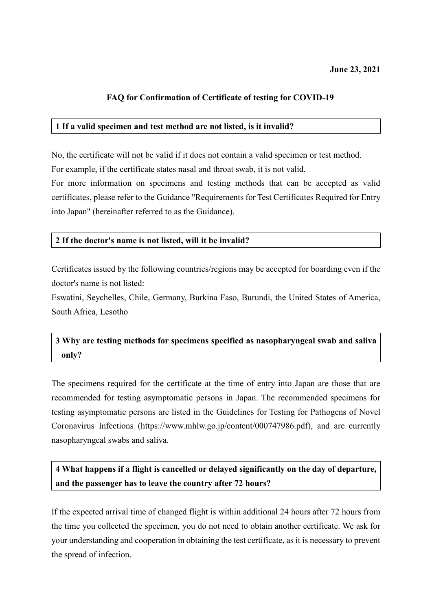### **FAQ for Confirmation of Certificate of testing for COVID-19**

### **1 If a valid specimen and test method are not listed, is it invalid?**

No, the certificate will not be valid if it does not contain a valid specimen or test method. For example, if the certificate states nasal and throat swab, it is not valid.

For more information on specimens and testing methods that can be accepted as valid certificates, please refer to the Guidance "Requirements for Test Certificates Required for Entry into Japan" (hereinafter referred to as the Guidance).

### **2 If the doctor's name is not listed, will it be invalid?**

Certificates issued by the following countries/regions may be accepted for boarding even if the doctor's name is not listed:

Eswatini, Seychelles, Chile, Germany, Burkina Faso, Burundi, the United States of America, South Africa, Lesotho

# **3 Why are testing methods for specimens specified as nasopharyngeal swab and saliva only?**

The specimens required for the certificate at the time of entry into Japan are those that are recommended for testing asymptomatic persons in Japan. The recommended specimens for testing asymptomatic persons are listed in the Guidelines for Testing for Pathogens of Novel Coronavirus Infections (https://www.mhlw.go.jp/content/000747986.pdf), and are currently nasopharyngeal swabs and saliva.

**4 What happens if a flight is cancelled or delayed significantly on the day of departure, and the passenger has to leave the country after 72 hours?**

If the expected arrival time of changed flight is within additional 24 hours after 72 hours from the time you collected the specimen, you do not need to obtain another certificate. We ask for your understanding and cooperation in obtaining the test certificate, as it is necessary to prevent the spread of infection.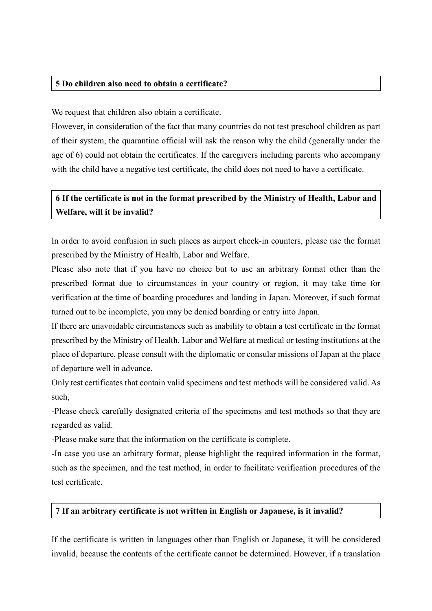### **5 Do children also need to obtain a certificate?**

We request that children also obtain a certificate.

However, in consideration of the fact that many countries do not test preschool children as part of their system, the quarantine official will ask the reason why the child (generally under the age of 6) could not obtain the certificates. If the caregivers including parents who accompany with the child have a negative test certificate, the child does not need to have a certificate.

# **6 If the certificate is not in the format prescribed by the Ministry of Health, Labor and Welfare, will it be invalid?**

In order to avoid confusion in such places as airport check-in counters, please use the format prescribed by the Ministry of Health, Labor and Welfare.

Please also note that if you have no choice but to use an arbitrary format other than the prescribed format due to circumstances in your country or region, it may take time for verification at the time of boarding procedures and landing in Japan. Moreover, if such format turned out to be incomplete, you may be denied boarding or entry into Japan.

If there are unavoidable circumstances such as inability to obtain a test certificate in the format prescribed by the Ministry of Health, Labor and Welfare at medical or testing institutions at the place of departure, please consult with the diplomatic or consular missions of Japan at the place of departure well in advance.

Only test certificates that contain valid specimens and test methods will be considered valid. As such,

-Please check carefully designated criteria of the specimens and test methods so that they are regarded as valid.

-Please make sure that the information on the certificate is complete.

-In case you use an arbitrary format, please highlight the required information in the format, such as the specimen, and the test method, in order to facilitate verification procedures of the test certificate.

#### **7 If an arbitrary certificate is not written in English or Japanese, is it invalid?**

If the certificate is written in languages other than English or Japanese, it will be considered invalid, because the contents of the certificate cannot be determined. However, if a translation